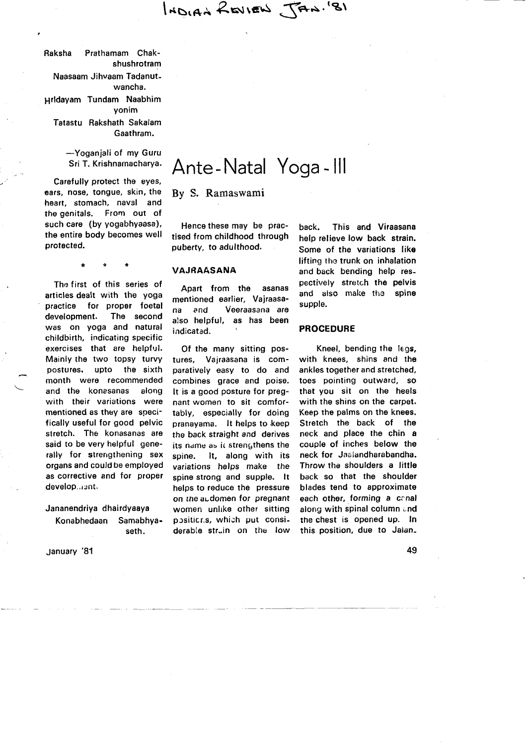INDIAN REVIEW JAN. (8)

Raksha Prathamam Chakshushrotram Naasaam Jihvaam Tadanutwancha. prldayam Tundam Naabhim Yonim Tatastu Rakshath Sakalam

Gaathram.

-Yoganjali of my Guru Sri T. Krishnamacharya.

Carefully protect the eyes, ears, nose, tongue, skin, the heart, stomach, naval and the genitals. From out of such care (by yogabhyaasa), the entire body becomes well protected.

The first of this series of articles dealt with the yoga practice for proper foetal development. The second was on yoga and natural childbirth, indicating specific exercises that are helpful. Mainly the two topsy turvy postures, upto the sixth month were recommended and the konasanas along with their variations were mentioned as they are specifically useful for good pelvic stretch. The konasanas are said to be very helpful generally for strengthening sex organs and could be employed as corrective and for proper develop...ent.

### Jananendriya dhairdyaaya

Konabhedaan Samabhyaseth.

January '81

# Ante - Natal Yoga - lll

By S. Ramaswami

Hence these may be practised from childhood through puberty, to adulthood.

#### VAJRAASANA

Apart from the asanas mentioned earlier, Vajraasana and Veeraasana are also helpful, as has been indicated.

Of the many sitting postures, Vajraasana is comparatively easy to do and combines grace and poise, It is a good posture for pregnant women to sit comfortably, especially for doing pranayama. It helps to keep the back straight and derives its name as it strengthens the spine. lt, along with its variations helps make the spine strong and supple. lt helps to reduce the pressure on the acdomen for pregnant women unlike other sitting positicr.s, which put considerable struin on the low

back. This and Viraasana help relieve low back strain. Some of the variations like lifting the trunk on inhalation and back bending help respectively stretch the pelvis and also make the spine supple.

#### PROCEDURE

Kneel, bending the legs, with knees, shins and the ankles together and stretched, toes pointing outward, so that you sit on the heels with the shins on the carpet. Keep the palms on the knees. stretch the back of the neck and place the chin a couple of inches below the neck for Jaaiandharabandha. Throw the shoulders a little back so that the shoulder blades tend to approximate each other, forming a conal along with spinal column and the chest is opened up. In this position, due to Jalan-

49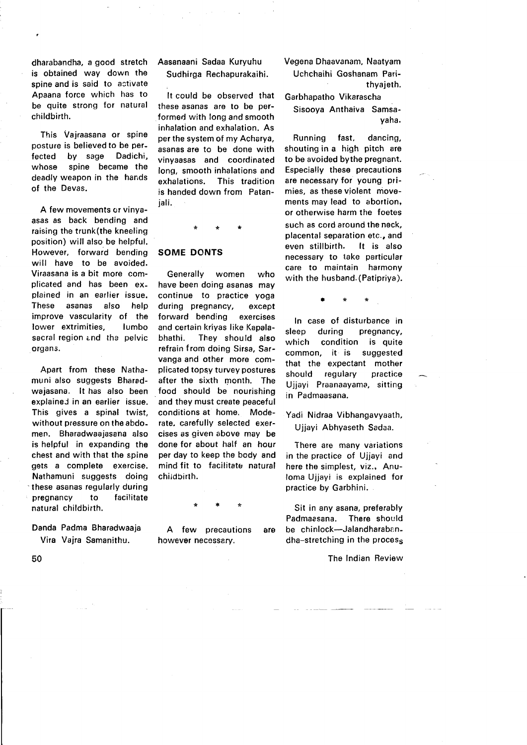dharabandha, a good stretch is obtained way down the spine and is said to activate Apaana force which has to be quite strong for natural childbirth.

This Vajraasana or spine posture is believed to be perfected by sage Dadichi, whose spine became the deadly weapon in the hands of the Devas.

A few movements or vinyaasas as back bending and raising the trunk(the kneeling position) will also be helpful. However, forward bending will have to be avoided. Viraasana is a bit more complicated and has been explained in an earlier issue. These asanas also help improve vascularity of the lower extrimities, lumbo sacral region and the pelvic organs.

Apart from these Nathamuni also suggests Bharadwajasana. It has also been explained in an earlier issue. This gives a spinal twist, without pressure on the abdomen. Bharadwaajasana also is helpful in expanding the chest and with that the spine gets a complete exercise. Natharnuni suggests doing these asanas regularly duting pregnancy to facilitate natural childbirth.

Danda Padma Bharadwaaja Vira Vajra Samanithu.

Aasanaani Sadaa Kuryuhu Sudhirga Rechapurakaihi.

It could be observed that these asanas are to be performed with long and smooth inhalation and exhalation. As per the system of my Acharya, asanas are to be done with vinyaasas and coordinated long, smooth inhalations and exhalations. This tradition is handed down from Patanjali.

## SOME DONTS

Generally women who have been doing asanas may continue to practice yoga during pregnancy, except forward bending exercises and certain kriyas like Kapalabhathi. They should also refrain from doing Sirsa, Sarvanga and other more complicated topsy turvey postures after the sixth month. The food should be nourishing and they must create peaceful conditions at home. Moderate. carefully selected exercises as given above may be done for about half an hour per day to keep the body and mind fit to facilitate natural childbirth.

A few precautions are however necessary.

Vegena Dhaavanam, Naatyam Uchchaihi Goshanam Parithyajeth.

Garbhapatho Vikarascha Sisooya Anthaiva Samsayaha.

Running fast, dancing, shouting in a high pitch are to be avoided bythe pregnant. Especially these precautions are necessary for young primies, as these violent movements may lead to abortion, or otherwise harm the foetes such as cord around the neck, placental separation etc., and even stillbirth. lt is also necessary to take particular care to maintain harmony with the husband. (Patipriya).

ln case of disturbance in sleep during pregnancy, which condition is quite common, it is suggested that the expectant mother should regulary practice U jjayi Praanaayama, sitting in Padmaasana.

Yadi Nidraa Vibhangavyaath, Ujjayi Abhyaseth Sadaa.

There are many variations in the practice of Ujjayi and here the simplest, viz., Anuloma Ujjayi is explained for practice by Garbhini.

Sit in any asana, preferably Padmaasana. There should be chinlock-Jalandharabandha-stretching in the process

The Indian Review

50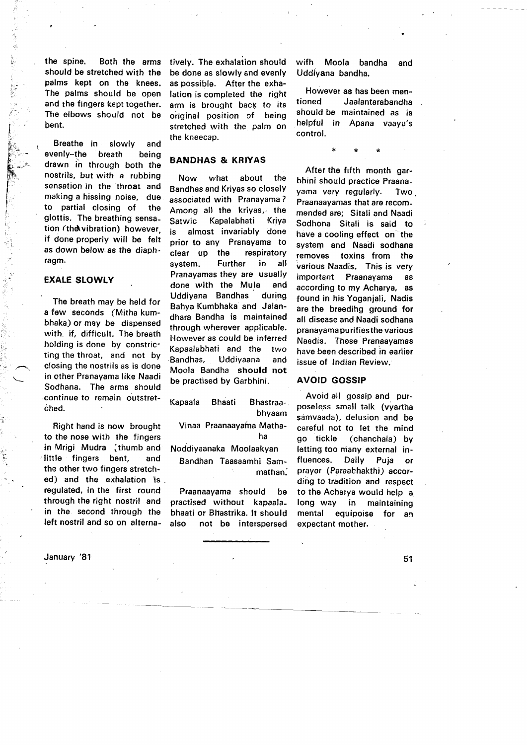the spine. Both the arms should be stretched with the palms kept on the knees. The palms should be open and the fingers kept together. The elbows should not be bent.

Breathe in slowly and evenly-the breath being drawn in through both the nostrils, but with a rubbing sensation in the 'throat and making a hissing noise, due to partial closing of the glottis. The breathing sensation (the vibration) however, if done properly will be felt as down below. as the diaphragm.

## EXALE SLOWLY

I l.  $\mathbb{R}$  .  $\mathbb{R}_{+}$  ( F'r "' ^ F.  $\sum_{i=1}^N\mathbb{E}_i\mathbb{E}_i$  $r_{\rm th}$ T t. I I. I I : ;,  $\leq$ 

> The breath may be held for a few seconds (Mitha kumbhaka) or may be dispensed with, if, difficult. The breath holding is done by constricting the throat, and not by closing the nostrils as is done in other Pranayama like Naadi Sodhana. The arms should continue to remain outstretched.

Right hand is now brought to the nose with the fingers in Mrigi Mudra {thumb and little fingers bent, and the other two fingers stretched) and the exhalation is , regulated, in the first round through the right nostril and in the second through the left nostril and so on alterna-

January '81

tively. The exhalation should be done as slowly and evenly as possible. After the exhalation is completed the right arm is brought back to its original position of being stretched with the palm on the kneecap.

## BANDHAS & KRIYAS

Now what about the Bandhas and Kriyas so closelY associated with Pranayama ? Among all the kriyas, the Satwic Kapalabhati Kriya is almost invariably done prior to any Pranayama to clear up the respiratory system. Further in all Pranayamas they are usually done with the Mula and Uddiyana Bandhas during Bahya Kumbhaka and Jalandhara Bandha is maintained throuqh wherever applicable. However as could be inferred Kapaalabhati and the two Bandhas, Uddiyaana and Moola Bandha should not be practised by Garbhini.

Kapaala Bhaati Bhastraabhyaam Vinaa Praanaayama Mathaha Noddiyaanaka Moolaakyan

Bandhan Taasaamhi Sammathan.'

Praanaayama should be practised without kapaalabhaati or Bhastrika. It should also not be interspersed wifh Moola bandha and Uddiyana bandha.

However as has been mentioned Jaalantarabandha should be maintained as is helpful in Apana vaayu's control.

\*\*\*

After the fifth month garbhini should practice Praanayama very regularly. Two. Praanaayamas that are recommended are; Sitali and Naadi Sodhona Sitali is said to have a cooling effect on the system and Naadi sodhana removes toxins from the various Naadis. This is very important Praanayama as according to my Acharya, as found in his Yoganjali, Nadis are the breedihg ground for all disease and Naadi sodhana pranayama pu rif ies the various Naadis. These Pranaayamas have been described in earlier issue of Indian Review.

#### AVOID GOSSIP

Avoid all gossip and purposeless small talk (vyartha samvaada), delusion and be careful not to let the mind go tickle (chanchala) by letting too niany external influences. Daily Puja or prayer (Paraabhakthi) according to tradition and respect to the Acharya would help a long way in maintaining mental equipoise for an expectant mother.